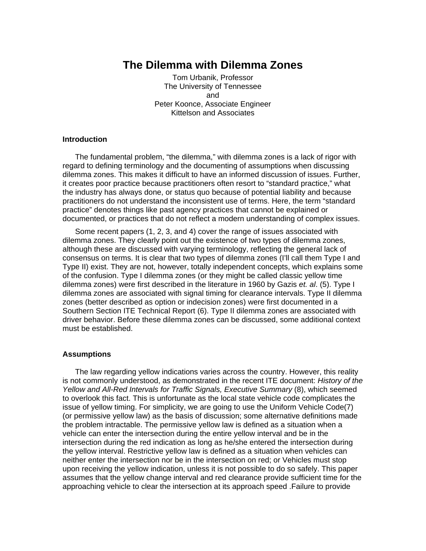# **The Dilemma with Dilemma Zones**

Tom Urbanik, Professor The University of Tennessee and Peter Koonce, Associate Engineer Kittelson and Associates

### **Introduction**

The fundamental problem, "the dilemma," with dilemma zones is a lack of rigor with regard to defining terminology and the documenting of assumptions when discussing dilemma zones. This makes it difficult to have an informed discussion of issues. Further, it creates poor practice because practitioners often resort to "standard practice," what the industry has always done, or status quo because of potential liability and because practitioners do not understand the inconsistent use of terms. Here, the term "standard practice" denotes things like past agency practices that cannot be explained or documented, or practices that do not reflect a modern understanding of complex issues.

Some recent papers (1, 2, 3, and 4) cover the range of issues associated with dilemma zones. They clearly point out the existence of two types of dilemma zones, although these are discussed with varying terminology, reflecting the general lack of consensus on terms. It is clear that two types of dilemma zones (I'll call them Type I and Type II) exist. They are not, however, totally independent concepts, which explains some of the confusion. Type I dilemma zones (or they might be called classic yellow time dilemma zones) were first described in the literature in 1960 by Gazis *et. al*. (5). Type I dilemma zones are associated with signal timing for clearance intervals. Type II dilemma zones (better described as option or indecision zones) were first documented in a Southern Section ITE Technical Report (6). Type II dilemma zones are associated with driver behavior. Before these dilemma zones can be discussed, some additional context must be established.

#### **Assumptions**

The law regarding yellow indications varies across the country. However, this reality is not commonly understood, as demonstrated in the recent ITE document: *History of the Yellow and All-Red Intervals for Traffic Signals, Executive Summary* (8), which seemed to overlook this fact. This is unfortunate as the local state vehicle code complicates the issue of yellow timing. For simplicity, we are going to use the Uniform Vehicle Code(7) (or permissive yellow law) as the basis of discussion; some alternative definitions made the problem intractable. The permissive yellow law is defined as a situation when a vehicle can enter the intersection during the entire yellow interval and be in the intersection during the red indication as long as he/she entered the intersection during the yellow interval. Restrictive yellow law is defined as a situation when vehicles can neither enter the intersection nor be in the intersection on red; or Vehicles must stop upon receiving the yellow indication, unless it is not possible to do so safely. This paper assumes that the yellow change interval and red clearance provide sufficient time for the approaching vehicle to clear the intersection at its approach speed .Failure to provide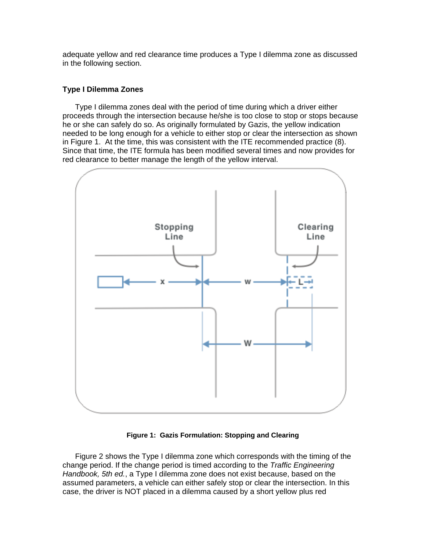adequate yellow and red clearance time produces a Type I dilemma zone as discussed in the following section.

## **Type I Dilemma Zones**

Type I dilemma zones deal with the period of time during which a driver either proceeds through the intersection because he/she is too close to stop or stops because he or she can safely do so. As originally formulated by Gazis, the yellow indication needed to be long enough for a vehicle to either stop or clear the intersection as shown in Figure 1. At the time, this was consistent with the ITE recommended practice (8). Since that time, the ITE formula has been modified several times and now provides for red clearance to better manage the length of the yellow interval.



**Figure 1: Gazis Formulation: Stopping and Clearing** 

Figure 2 shows the Type I dilemma zone which corresponds with the timing of the change period. If the change period is timed according to the *Traffic Engineering Handbook, 5th ed.*, a Type I dilemma zone does not exist because, based on the assumed parameters, a vehicle can either safely stop or clear the intersection. In this case, the driver is NOT placed in a dilemma caused by a short yellow plus red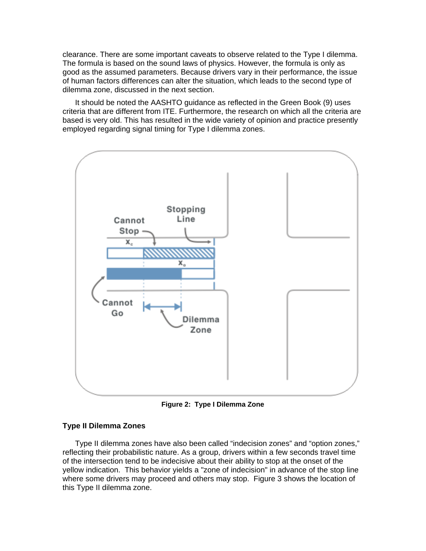clearance. There are some important caveats to observe related to the Type I dilemma. The formula is based on the sound laws of physics. However, the formula is only as good as the assumed parameters. Because drivers vary in their performance, the issue of human factors differences can alter the situation, which leads to the second type of dilemma zone, discussed in the next section.

It should be noted the AASHTO guidance as reflected in the Green Book (9) uses criteria that are different from ITE. Furthermore, the research on which all the criteria are based is very old. This has resulted in the wide variety of opinion and practice presently employed regarding signal timing for Type I dilemma zones.



**Figure 2: Type I Dilemma Zone** 

### **Type II Dilemma Zones**

Type II dilemma zones have also been called "indecision zones" and "option zones," reflecting their probabilistic nature. As a group, drivers within a few seconds travel time of the intersection tend to be indecisive about their ability to stop at the onset of the yellow indication. This behavior yields a "zone of indecision" in advance of the stop line where some drivers may proceed and others may stop. Figure 3 shows the location of this Type II dilemma zone.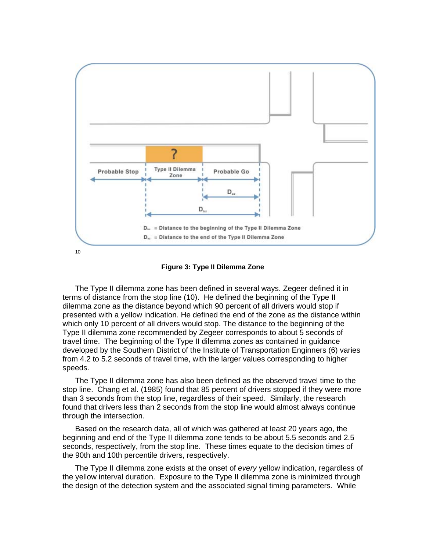



The Type II dilemma zone has been defined in several ways. Zegeer defined it in terms of distance from the stop line (10). He defined the beginning of the Type II dilemma zone as the distance beyond which 90 percent of all drivers would stop if presented with a yellow indication. He defined the end of the zone as the distance within which only 10 percent of all drivers would stop. The distance to the beginning of the Type II dilemma zone recommended by Zegeer corresponds to about 5 seconds of travel time. The beginning of the Type II dilemma zones as contained in guidance developed by the Southern District of the Institute of Transportation Enginners (6) varies from 4.2 to 5.2 seconds of travel time, with the larger values corresponding to higher speeds.

The Type II dilemma zone has also been defined as the observed travel time to the stop line. Chang et al. (1985) found that 85 percent of drivers stopped if they were more than 3 seconds from the stop line, regardless of their speed. Similarly, the research found that drivers less than 2 seconds from the stop line would almost always continue through the intersection.

Based on the research data, all of which was gathered at least 20 years ago, the beginning and end of the Type II dilemma zone tends to be about 5.5 seconds and 2.5 seconds, respectively, from the stop line. These times equate to the decision times of the 90th and 10th percentile drivers, respectively.

The Type II dilemma zone exists at the onset of *every* yellow indication, regardless of the yellow interval duration. Exposure to the Type II dilemma zone is minimized through the design of the detection system and the associated signal timing parameters. While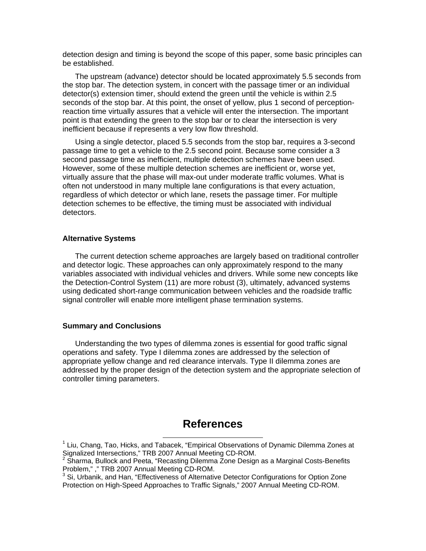detection design and timing is beyond the scope of this paper, some basic principles can be established.

The upstream (advance) detector should be located approximately 5.5 seconds from the stop bar. The detection system, in concert with the passage timer or an individual detector(s) extension timer, should extend the green until the vehicle is within 2.5 seconds of the stop bar. At this point, the onset of yellow, plus 1 second of perceptionreaction time virtually assures that a vehicle will enter the intersection. The important point is that extending the green to the stop bar or to clear the intersection is very inefficient because if represents a very low flow threshold.

Using a single detector, placed 5.5 seconds from the stop bar, requires a 3-second passage time to get a vehicle to the 2.5 second point. Because some consider a 3 second passage time as inefficient, multiple detection schemes have been used. However, some of these multiple detection schemes are inefficient or, worse yet, virtually assure that the phase will max-out under moderate traffic volumes. What is often not understood in many multiple lane configurations is that every actuation, regardless of which detector or which lane, resets the passage timer. For multiple detection schemes to be effective, the timing must be associated with individual detectors.

#### **Alternative Systems**

The current detection scheme approaches are largely based on traditional controller and detector logic. These approaches can only approximately respond to the many variables associated with individual vehicles and drivers. While some new concepts like the Detection-Control System (11) are more robust (3), ultimately, advanced systems using dedicated short-range communication between vehicles and the roadside traffic signal controller will enable more intelligent phase termination systems.

#### **Summary and Conclusions**

Understanding the two types of dilemma zones is essential for good traffic signal operations and safety. Type I dilemma zones are addressed by the selection of appropriate yellow change and red clearance intervals. Type II dilemma zones are addressed by the proper design of the detection system and the appropriate selection of controller timing parameters.

# **References**

 <sup>1</sup> Liu, Chang, Tao, Hicks, and Tabacek, "Empirical Observations of Dynamic Dilemma Zones at Signalized Intersections," TRB 2007 Annual Meeting CD-ROM.<br><sup>2</sup> Sharma, Bullock and Peeta, "Recasting Dilemma Zone Design as a Marginal Costs-Benefits

Problem," ," TRB 2007 Annual Meeting CD-ROM.

<sup>&</sup>lt;sup>3</sup> Si, Urbanik, and Han, "Effectiveness of Alternative Detector Configurations for Option Zone Protection on High-Speed Approaches to Traffic Signals," 2007 Annual Meeting CD-ROM.